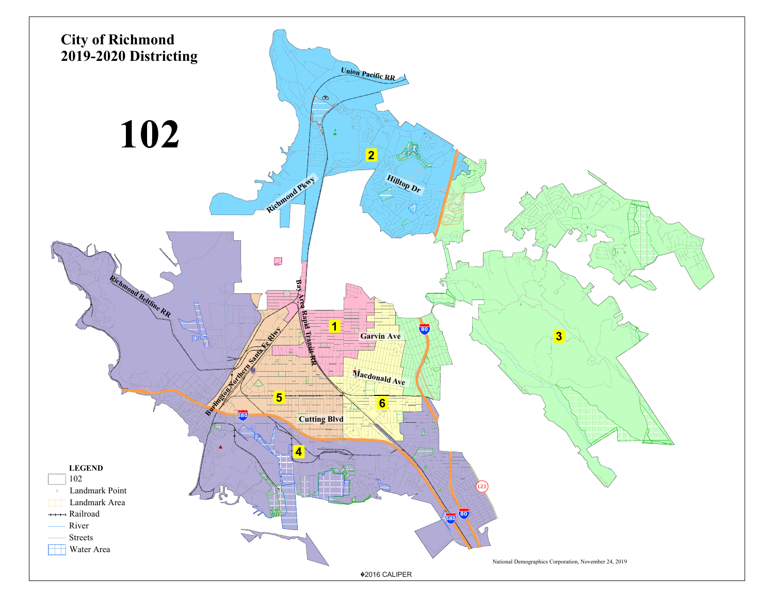